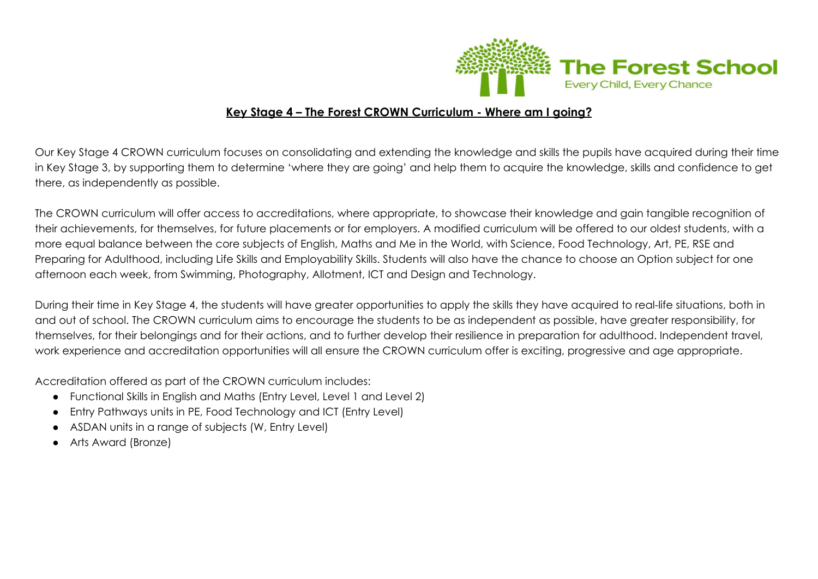

#### **Key Stage 4 – The Forest CROWN Curriculum - Where am I going?**

Our Key Stage 4 CROWN curriculum focuses on consolidating and extending the knowledge and skills the pupils have acquired during their time in Key Stage 3, by supporting them to determine 'where they are going' and help them to acquire the knowledge, skills and confidence to get there, as independently as possible.

The CROWN curriculum will offer access to accreditations, where appropriate, to showcase their knowledge and gain tangible recognition of their achievements, for themselves, for future placements or for employers. A modified curriculum will be offered to our oldest students, with a more equal balance between the core subjects of English, Maths and Me in the World, with Science, Food Technology, Art, PE, RSE and Preparing for Adulthood, including Life Skills and Employability Skills. Students will also have the chance to choose an Option subject for one afternoon each week, from Swimming, Photography, Allotment, ICT and Design and Technology.

During their time in Key Stage 4, the students will have greater opportunities to apply the skills they have acquired to real-life situations, both in and out of school. The CROWN curriculum aims to encourage the students to be as independent as possible, have greater responsibility, for themselves, for their belongings and for their actions, and to further develop their resilience in preparation for adulthood. Independent travel, work experience and accreditation opportunities will all ensure the CROWN curriculum offer is exciting, progressive and age appropriate.

Accreditation offered as part of the CROWN curriculum includes:

- Functional Skills in English and Maths (Entry Level, Level 1 and Level 2)
- Entry Pathways units in PE, Food Technology and ICT (Entry Level)
- ASDAN units in a range of subjects (W, Entry Level)
- Arts Award (Bronze)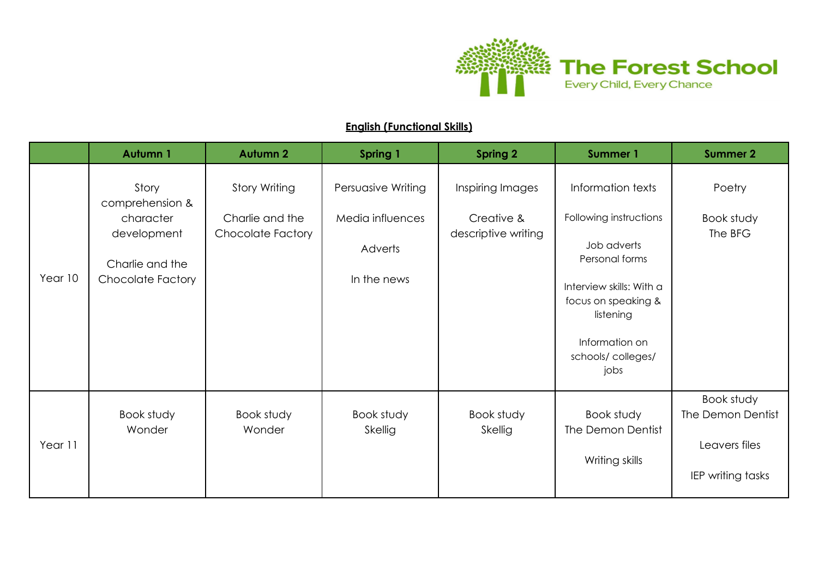

#### **English (Functional Skills)**

|         | <b>Autumn 1</b>          | <b>Autumn 2</b>                             | <b>Spring 1</b>       | <b>Spring 2</b>                   | <b>Summer 1</b>                                              | <b>Summer 2</b>                    |
|---------|--------------------------|---------------------------------------------|-----------------------|-----------------------------------|--------------------------------------------------------------|------------------------------------|
|         | Story<br>comprehension & | <b>Story Writing</b>                        | Persuasive Writing    | Inspiring Images                  | Information texts                                            | Poetry                             |
|         | character<br>development | Charlie and the<br><b>Chocolate Factory</b> | Media influences      | Creative &<br>descriptive writing | Following instructions                                       | Book study<br>The BFG              |
|         | Charlie and the          |                                             | Adverts               |                                   | Job adverts<br>Personal forms                                |                                    |
| Year 10 | <b>Chocolate Factory</b> |                                             | In the news           |                                   | Interview skills: With a<br>focus on speaking &<br>listening |                                    |
|         |                          |                                             |                       |                                   | Information on<br>schools/colleges/<br>jobs                  |                                    |
|         | Book study<br>Wonder     | Book study<br>Wonder                        | Book study<br>Skellig | Book study<br>Skellig             | Book study<br>The Demon Dentist                              | Book study<br>The Demon Dentist    |
| Year 11 |                          |                                             |                       |                                   | Writing skills                                               | Leavers files<br>IEP writing tasks |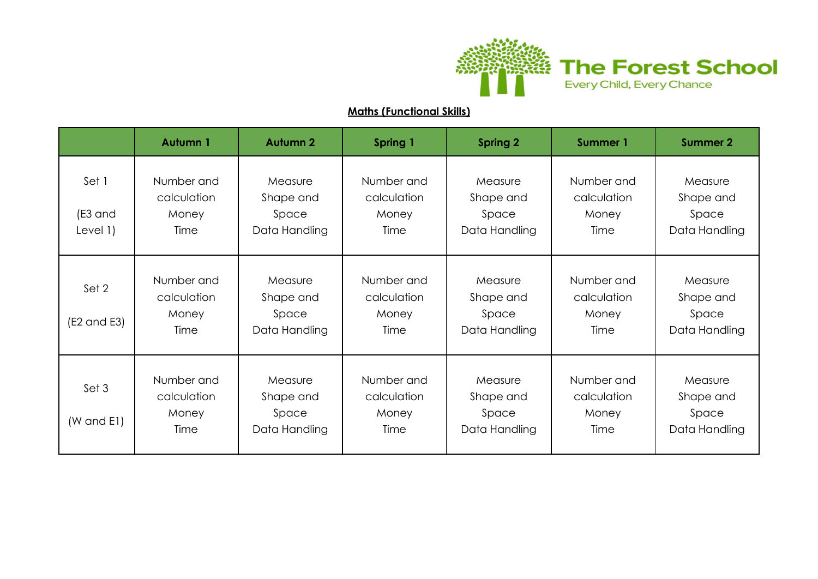

## **Maths (Functional Skills)**

|                                 | Autumn 1                                   | <b>Autumn 2</b>                                | Spring 1                                   | <b>Spring 2</b>                                | <b>Summer 1</b>                            | <b>Summer 2</b>                                |
|---------------------------------|--------------------------------------------|------------------------------------------------|--------------------------------------------|------------------------------------------------|--------------------------------------------|------------------------------------------------|
| Set 1<br>(E3 and<br>Level $1)$  | Number and<br>calculation<br>Money<br>Time | Measure<br>Shape and<br>Space<br>Data Handling | Number and<br>calculation<br>Money<br>Time | Measure<br>Shape and<br>Space<br>Data Handling | Number and<br>calculation<br>Money<br>Time | Measure<br>Shape and<br>Space<br>Data Handling |
| Set 2<br>$(E2 \text{ and } E3)$ | Number and<br>calculation<br>Money<br>Time | Measure<br>Shape and<br>Space<br>Data Handling | Number and<br>calculation<br>Money<br>Time | Measure<br>Shape and<br>Space<br>Data Handling | Number and<br>calculation<br>Money<br>Time | Measure<br>Shape and<br>Space<br>Data Handling |
| Set 3<br>$(W \text{ and } E1)$  | Number and<br>calculation<br>Money<br>Time | Measure<br>Shape and<br>Space<br>Data Handling | Number and<br>calculation<br>Money<br>Time | Measure<br>Shape and<br>Space<br>Data Handling | Number and<br>calculation<br>Money<br>Time | Measure<br>Shape and<br>Space<br>Data Handling |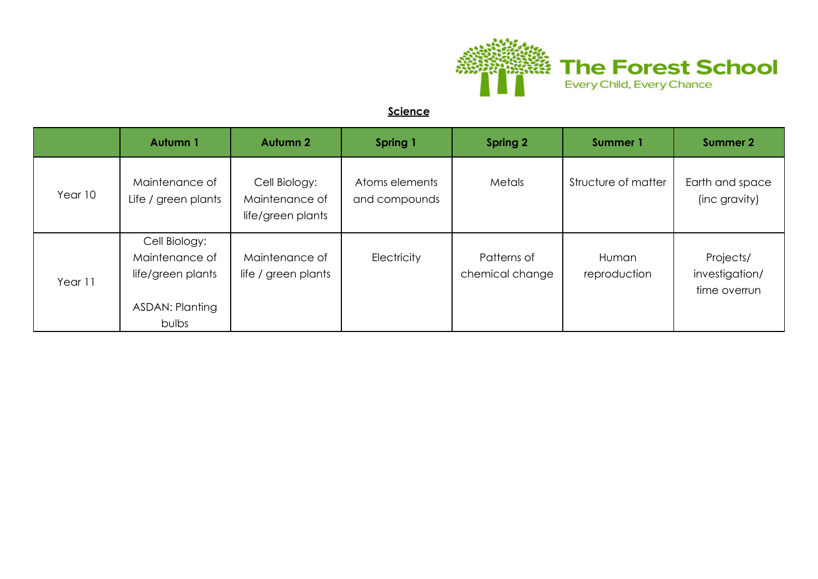

#### **Science**

|         | <b>Autumn 1</b>                                                                  | <b>Autumn 2</b>                                      | Spring 1                        | Spring 2                       | Summer 1              | <b>Summer 2</b>                             |
|---------|----------------------------------------------------------------------------------|------------------------------------------------------|---------------------------------|--------------------------------|-----------------------|---------------------------------------------|
| Year 10 | Maintenance of<br>Life / green plants                                            | Cell Biology:<br>Maintenance of<br>life/green plants | Atoms elements<br>and compounds | Metals                         | Structure of matter   | Earth and space<br>(inc gravity)            |
| Year 11 | Cell Biology:<br>Maintenance of<br>life/green plants<br>ASDAN: Planting<br>bulbs | Maintenance of<br>life / green plants                | Electricity                     | Patterns of<br>chemical change | Human<br>reproduction | Projects/<br>investigation/<br>time overrun |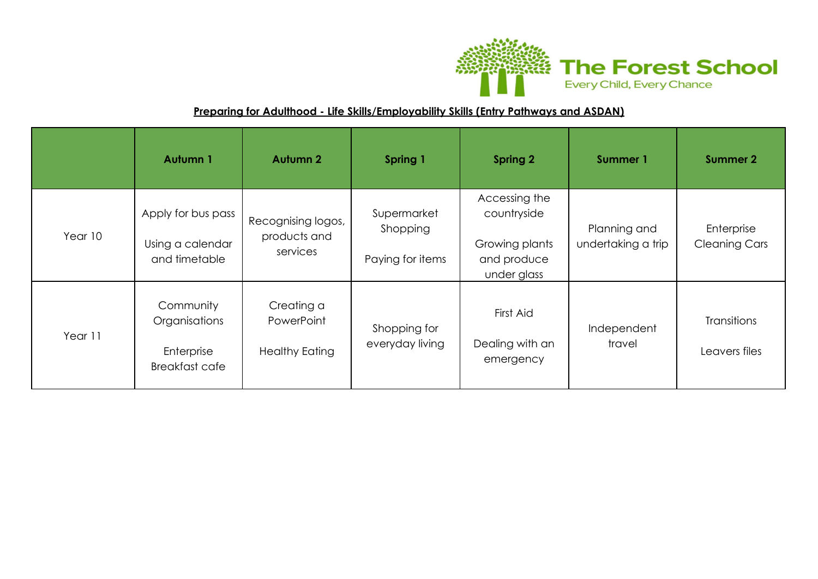

## **Preparing for Adulthood - Life Skills/Employability Skills (Entry Pathways and ASDAN)**

|         | Autumn 1                                                          | <b>Autumn 2</b>                                   | Spring 1                                    | <b>Spring 2</b>                                                              | Summer 1                           | <b>Summer 2</b>                     |
|---------|-------------------------------------------------------------------|---------------------------------------------------|---------------------------------------------|------------------------------------------------------------------------------|------------------------------------|-------------------------------------|
| Year 10 | Apply for bus pass<br>Using a calendar<br>and timetable           | Recognising logos,<br>products and<br>services    | Supermarket<br>Shopping<br>Paying for items | Accessing the<br>countryside<br>Growing plants<br>and produce<br>under glass | Planning and<br>undertaking a trip | Enterprise<br><b>Cleaning Cars</b>  |
| Year 11 | Community<br>Organisations<br>Enterprise<br><b>Breakfast cafe</b> | Creating a<br>PowerPoint<br><b>Healthy Eating</b> | Shopping for<br>everyday living             | First Aid<br>Dealing with an<br>emergency                                    | Independent<br>travel              | <b>Transitions</b><br>Leavers files |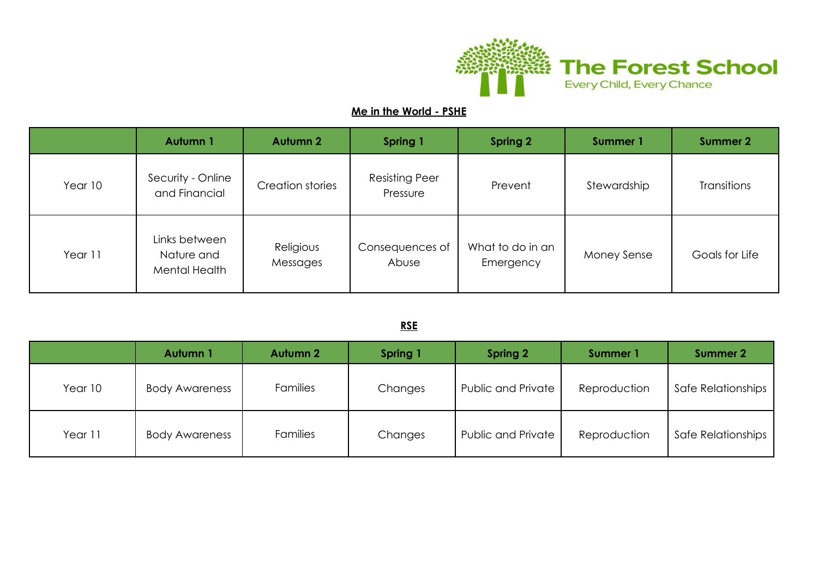

## **Me in the World - PSHE**

|         | Autumn 1                                     | <b>Autumn 2</b>       | Spring 1                          | <b>Spring 2</b>               | Summer 1           | <b>Summer 2</b>    |
|---------|----------------------------------------------|-----------------------|-----------------------------------|-------------------------------|--------------------|--------------------|
| Year 10 | Security - Online<br>and Financial           | Creation stories      | <b>Resisting Peer</b><br>Pressure | Prevent                       | Stewardship        | <b>Transitions</b> |
| Year 11 | Links between<br>Nature and<br>Mental Health | Religious<br>Messages | Consequences of<br>Abuse          | What to do in an<br>Emergency | <b>Money Sense</b> | Goals for Life     |

#### **RSE**

|         | Autumn 1              | <b>Autumn 2</b> | Spring 1 | <b>Spring 2</b>           | Summer 1     | <b>Summer 2</b>    |
|---------|-----------------------|-----------------|----------|---------------------------|--------------|--------------------|
| Year 10 | <b>Body Awareness</b> | <b>Families</b> | Changes  | <b>Public and Private</b> | Reproduction | Safe Relationships |
| Year 11 | <b>Body Awareness</b> | <b>Families</b> | Changes  | <b>Public and Private</b> | Reproduction | Safe Relationships |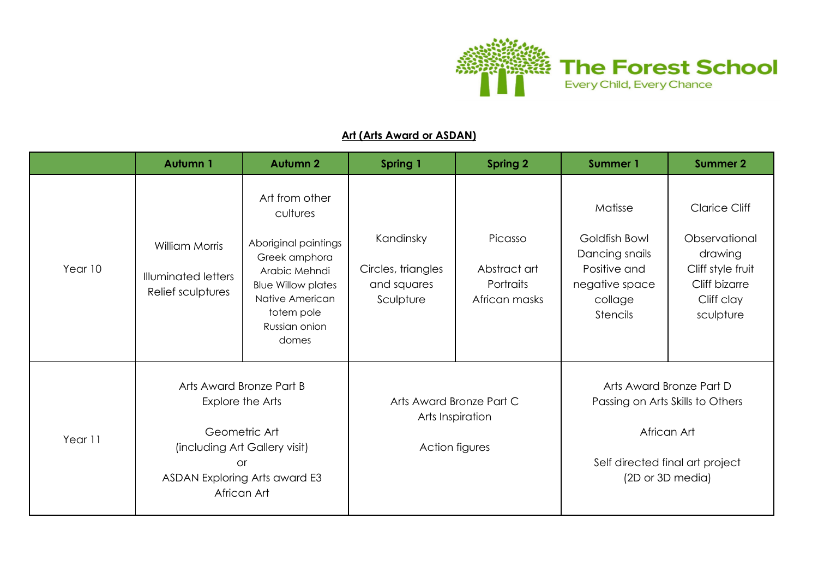

#### **Art (Arts Award or ASDAN)**

|         | Autumn 1                                                                                                                                                    | <b>Autumn 2</b>                                                                                                                                                              | <b>Spring 1</b>                                             | <b>Spring 2</b>                                                | <b>Summer 1</b>                                                                                            | <b>Summer 2</b>                                                                                                   |
|---------|-------------------------------------------------------------------------------------------------------------------------------------------------------------|------------------------------------------------------------------------------------------------------------------------------------------------------------------------------|-------------------------------------------------------------|----------------------------------------------------------------|------------------------------------------------------------------------------------------------------------|-------------------------------------------------------------------------------------------------------------------|
| Year 10 | <b>William Morris</b><br><b>Illuminated letters</b><br>Relief sculptures                                                                                    | Art from other<br>cultures<br>Aboriginal paintings<br>Greek amphora<br>Arabic Mehndi<br><b>Blue Willow plates</b><br>Native American<br>totem pole<br>Russian onion<br>domes | Kandinsky<br>Circles, triangles<br>and squares<br>Sculpture | Picasso<br>Abstract art<br>Portraits<br>African masks          | Matisse<br>Goldfish Bowl<br>Dancing snails<br>Positive and<br>negative space<br>collage<br><b>Stencils</b> | <b>Clarice Cliff</b><br>Observational<br>drawing<br>Cliff style fruit<br>Cliff bizarre<br>Cliff clay<br>sculpture |
| Year 11 | Arts Award Bronze Part B<br>Explore the Arts<br>Geometric Art<br>(including Art Gallery visit)<br><b>or</b><br>ASDAN Exploring Arts award E3<br>African Art |                                                                                                                                                                              |                                                             | Arts Award Bronze Part C<br>Arts Inspiration<br>Action figures | Arts Award Bronze Part D<br>African Art<br>Self directed final art project                                 | Passing on Arts Skills to Others<br>(2D or 3D media)                                                              |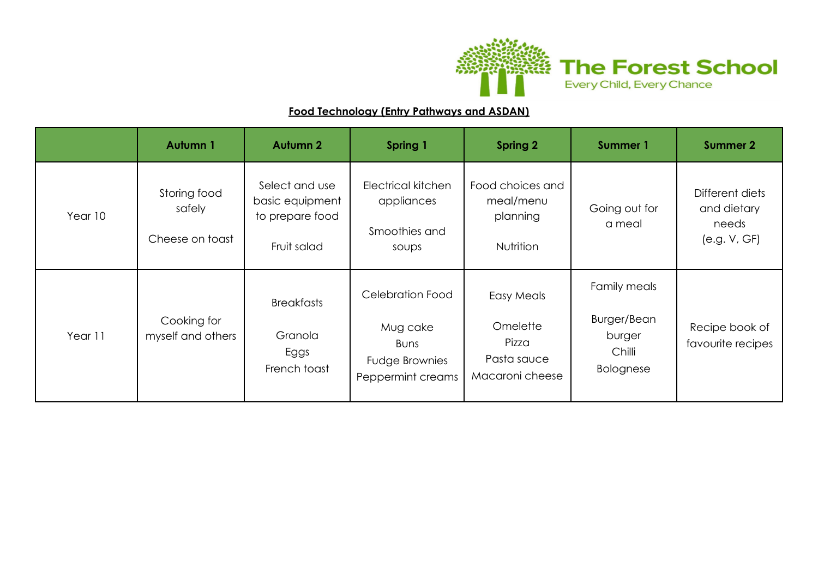

## **Food Technology (Entry Pathways and ASDAN)**

|         | Autumn 1                                  | <b>Autumn 2</b>                                                     | Spring 1                                                                                         | <b>Spring 2</b>                                                   | <b>Summer 1</b>                                                     | <b>Summer 2</b>                                         |
|---------|-------------------------------------------|---------------------------------------------------------------------|--------------------------------------------------------------------------------------------------|-------------------------------------------------------------------|---------------------------------------------------------------------|---------------------------------------------------------|
| Year 10 | Storing food<br>safely<br>Cheese on toast | Select and use<br>basic equipment<br>to prepare food<br>Fruit salad | Electrical kitchen<br>appliances<br>Smoothies and<br>soups                                       | Food choices and<br>meal/menu<br>planning<br><b>Nutrition</b>     | Going out for<br>a meal                                             | Different diets<br>and dietary<br>needs<br>(e.g. V, GF) |
| Year 11 | Cooking for<br>myself and others          | <b>Breakfasts</b><br>Granola<br>Eggs<br>French toast                | <b>Celebration Food</b><br>Mug cake<br><b>Buns</b><br><b>Fudge Brownies</b><br>Peppermint creams | Easy Meals<br>Omelette<br>Pizza<br>Pasta sauce<br>Macaroni cheese | Family meals<br>Burger/Bean<br>burger<br>Chilli<br><b>Bolognese</b> | Recipe book of<br>favourite recipes                     |